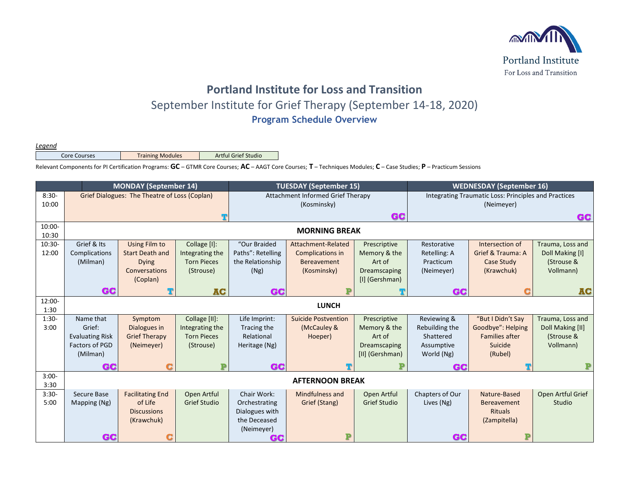

## **Portland Institute for Loss and Transition** September Institute for Grief Therapy (September 14-18, 2020) **Program Schedule Overview**

*Legend*

Core Courses | Training Modules | Artful Grief Studio

Relevant Components for PI Certification Programs: **GC** – GTMR Core Courses; **AC** – AAGT Core Courses; **T** – Techniques Modules; **C** – Case Studies; **P** – Practicum Sessions

|                    | <b>MONDAY (September 14)</b>                  |                         |                     | <b>TUESDAY (September 15)</b>     |                            |                     | <b>WEDNESDAY (September 16)</b>                      |                    |                   |
|--------------------|-----------------------------------------------|-------------------------|---------------------|-----------------------------------|----------------------------|---------------------|------------------------------------------------------|--------------------|-------------------|
| $8:30-$            | Grief Dialogues: The Theatre of Loss (Coplan) |                         |                     | Attachment Informed Grief Therapy |                            |                     | Integrating Traumatic Loss: Principles and Practices |                    |                   |
| 10:00              |                                               |                         |                     | (Kosminsky)                       |                            |                     | (Neimeyer)                                           |                    |                   |
|                    |                                               |                         |                     | GC                                |                            |                     | GC                                                   |                    |                   |
| $10:00 -$<br>10:30 | <b>MORNING BREAK</b>                          |                         |                     |                                   |                            |                     |                                                      |                    |                   |
| $10:30-$           | Grief & Its                                   | Using Film to           | Collage [I]:        | "Our Braided                      | Attachment-Related         | Prescriptive        | Restorative                                          | Intersection of    | Trauma, Loss and  |
| 12:00              | Complications                                 | <b>Start Death and</b>  | Integrating the     | Paths": Retelling                 | Complications in           | Memory & the        | Retelling: A                                         | Grief & Trauma: A  | Doll Making [I]   |
|                    | (Milman)                                      | <b>Dying</b>            | <b>Torn Pieces</b>  | the Relationship                  | <b>Bereavement</b>         | Art of              | Practicum                                            | Case Study         | (Strouse &        |
|                    |                                               | Conversations           | (Strouse)           | (Ng)                              | (Kosminsky)                | Dreamscaping        | (Neimeyer)                                           | (Krawchuk)         | Vollmann)         |
|                    |                                               | (Coplan)                |                     |                                   |                            | [I] (Gershman)      |                                                      |                    |                   |
|                    | GC                                            |                         | <b>AC</b>           | GC                                |                            |                     | GC                                                   |                    | <b>AC</b>         |
| 12:00-             |                                               |                         |                     |                                   |                            |                     |                                                      |                    |                   |
| 1:30               |                                               |                         |                     |                                   | <b>LUNCH</b>               |                     |                                                      |                    |                   |
| $1:30-$            | Name that                                     | Symptom                 | Collage [II]:       | Life Imprint:                     | <b>Suicide Postvention</b> | Prescriptive        | Reviewing &                                          | "But I Didn't Say  | Trauma, Loss and  |
| 3:00               | Grief:                                        | Dialogues in            | Integrating the     | Tracing the                       | (McCauley &                | Memory & the        | Rebuilding the                                       | Goodbye": Helping  | Doll Making [II]  |
|                    | <b>Evaluating Risk</b>                        | <b>Grief Therapy</b>    | <b>Torn Pieces</b>  | Relational                        | Hoeper)                    | Art of              | Shattered                                            | Families after     | (Strouse &        |
|                    | Factors of PGD                                | (Neimeyer)              | (Strouse)           | Heritage (Ng)                     |                            | Dreamscaping        | Assumptive                                           | Suicide            | Vollmann)         |
|                    | (Milman)                                      |                         |                     |                                   |                            | [II] (Gershman)     | World (Ng)                                           | (Rubel)            |                   |
|                    | GC                                            |                         |                     | GC                                |                            |                     | GC.                                                  |                    |                   |
| $3:00-$            |                                               |                         |                     |                                   | <b>AFTERNOON BREAK</b>     |                     |                                                      |                    |                   |
| 3:30               |                                               |                         |                     |                                   |                            |                     |                                                      |                    |                   |
| $3:30-$            | Secure Base                                   | <b>Facilitating End</b> | Open Artful         | Chair Work:                       | Mindfulness and            | Open Artful         | Chapters of Our                                      | Nature-Based       | Open Artful Grief |
| 5:00               | Mapping (Ng)                                  | of Life                 | <b>Grief Studio</b> | Orchestrating                     | Grief (Stang)              | <b>Grief Studio</b> | Lives (Ng)                                           | <b>Bereavement</b> | Studio            |
|                    |                                               | <b>Discussions</b>      |                     | Dialogues with                    |                            |                     |                                                      | <b>Rituals</b>     |                   |
|                    |                                               | (Krawchuk)              |                     | the Deceased                      |                            |                     |                                                      | (Zampitella)       |                   |
|                    |                                               |                         |                     | (Neimeyer)                        |                            |                     |                                                      |                    |                   |
|                    | GC                                            |                         |                     | GC                                | P                          |                     | GC                                                   |                    |                   |